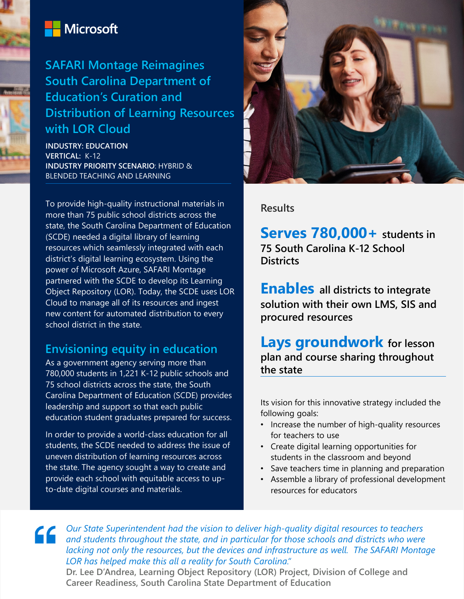

# Microsoft

# **SAFARI Montage Reimagines South Carolina Department of Education's Curation and Distribution of Learning Resources with LOR Cloud**

**INDUSTRY: EDUCATION VERTICAL:** K-12 **INDUSTRY PRIORITY SCENARIO**: HYBRID & BLENDED TEACHING AND LEARNING

To provide high-quality instructional materials in more than 75 public school districts across the state, the South Carolina Department of Education (SCDE) needed a digital library of learning resources which seamlessly integrated with each district's digital learning ecosystem. Using the power of Microsoft Azure, SAFARI Montage partnered with the SCDE to develop its Learning Object Repository (LOR). Today, the SCDE uses LOR Cloud to manage all of its resources and ingest new content for automated distribution to every school district in the state.

## **Envisioning equity in education**

As a government agency serving more than 780,000 students in 1,221 K-12 public schools and 75 school districts across the state, the South Carolina Department of Education (SCDE) provides leadership and support so that each public education student graduates prepared for success.

In order to provide a world-class education for all students, the SCDE needed to address the issue of uneven distribution of learning resources across the state. The agency sought a way to create and provide each school with equitable access to upto-date digital courses and materials.



#### **Results**

**Serves 780,000+ students in 75 South Carolina K-12 School Districts**

**Enables all districts to integrate solution with their own LMS, SIS and procured resources**

**Lays groundwork for lesson plan and course sharing throughout the state**

Its vision for this innovative strategy included the following goals:

- Increase the number of high-quality resources for teachers to use
- Create digital learning opportunities for students in the classroom and beyond
- Save teachers time in planning and preparation
- Assemble a library of professional development resources for educators

**Cour State Superintendent had the vision to deliver high-quality digital resources to teachers**<br>and students throughout the state and in particular and in the state of the state of the state of the state of the state of t *and students throughout the state, and in particular for those schools and districts who were lacking not only the resources, but the devices and infrastructure as well. The SAFARI Montage LOR has helped make this all a reality for South Carolina."*

**Dr. Lee D'Andrea, Learning Object Repository (LOR) Project, Division of College and Career Readiness, South Carolina State Department of Education**